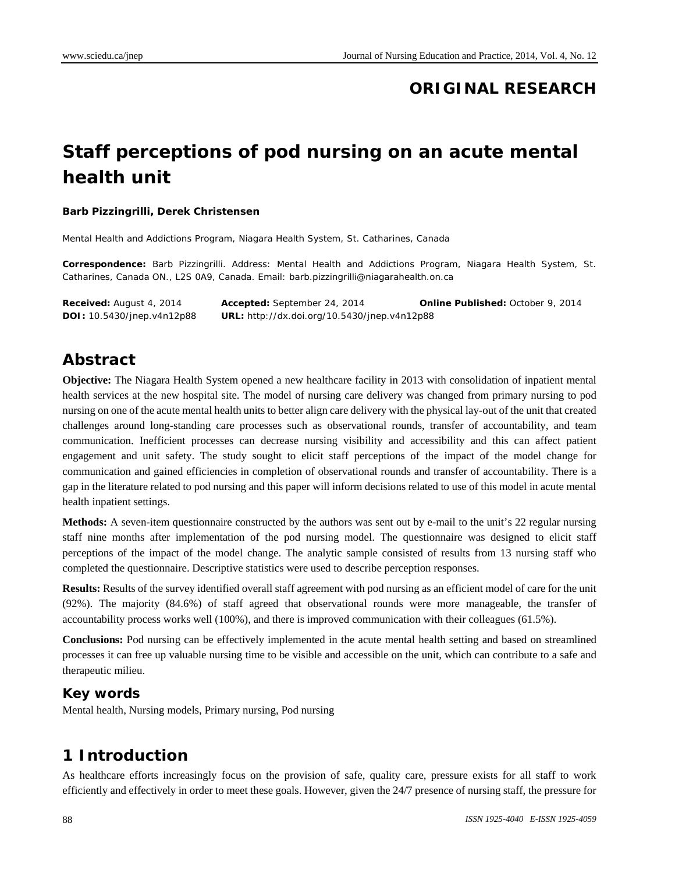## **ORIGINAL RESEARCH**

# **Staff perceptions of pod nursing on an acute mental health unit**

#### **Barb Pizzingrilli, Derek Christensen**

Mental Health and Addictions Program, Niagara Health System, St. Catharines, Canada

**Correspondence:** Barb Pizzingrilli. Address: Mental Health and Addictions Program, Niagara Health System, St. Catharines, Canada ON., L2S 0A9, Canada. Email: barb.pizzingrilli@niagarahealth.on.ca

**Received:** August 4, 2014 **Accepted:** September 24, 2014 **Online Published:** October 9, 2014 **DOI:** 10.5430/jnep.v4n12p88 **URL:** http://dx.doi.org/10.5430/jnep.v4n12p88

## **Abstract**

**Objective:** The Niagara Health System opened a new healthcare facility in 2013 with consolidation of inpatient mental health services at the new hospital site. The model of nursing care delivery was changed from primary nursing to pod nursing on one of the acute mental health units to better align care delivery with the physical lay-out of the unit that created challenges around long-standing care processes such as observational rounds, transfer of accountability, and team communication. Inefficient processes can decrease nursing visibility and accessibility and this can affect patient engagement and unit safety. The study sought to elicit staff perceptions of the impact of the model change for communication and gained efficiencies in completion of observational rounds and transfer of accountability. There is a gap in the literature related to pod nursing and this paper will inform decisions related to use of this model in acute mental health inpatient settings.

**Methods:** A seven-item questionnaire constructed by the authors was sent out by e-mail to the unit's 22 regular nursing staff nine months after implementation of the pod nursing model. The questionnaire was designed to elicit staff perceptions of the impact of the model change. The analytic sample consisted of results from 13 nursing staff who completed the questionnaire. Descriptive statistics were used to describe perception responses.

**Results:** Results of the survey identified overall staff agreement with pod nursing as an efficient model of care for the unit (92%). The majority (84.6%) of staff agreed that observational rounds were more manageable, the transfer of accountability process works well (100%), and there is improved communication with their colleagues (61.5%).

**Conclusions:** Pod nursing can be effectively implemented in the acute mental health setting and based on streamlined processes it can free up valuable nursing time to be visible and accessible on the unit, which can contribute to a safe and therapeutic milieu.

#### **Key words**

Mental health, Nursing models, Primary nursing, Pod nursing

## **1 Introduction**

As healthcare efforts increasingly focus on the provision of safe, quality care, pressure exists for all staff to work efficiently and effectively in order to meet these goals. However, given the 24/7 presence of nursing staff, the pressure for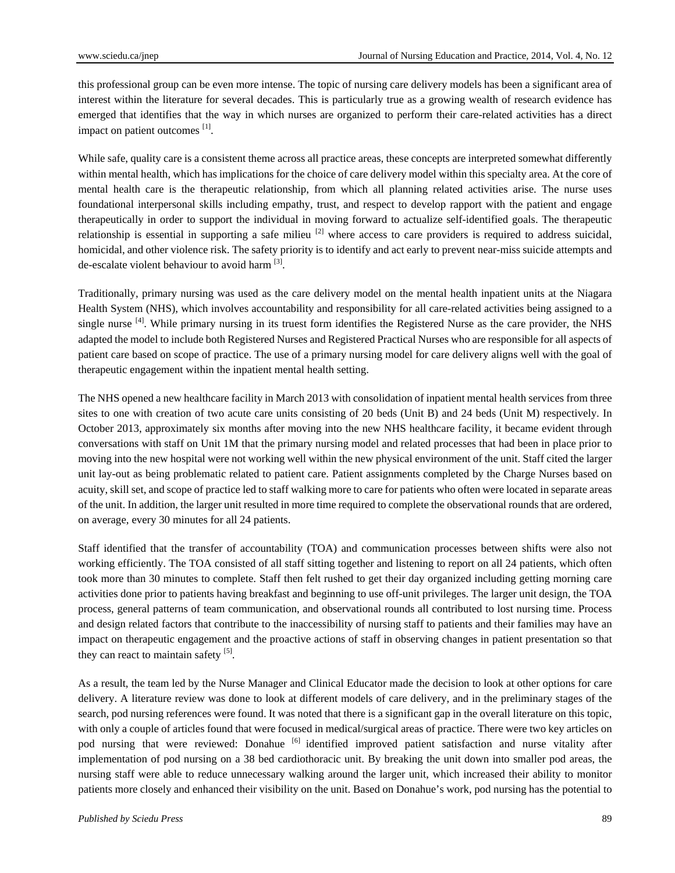this professional group can be even more intense. The topic of nursing care delivery models has been a significant area of interest within the literature for several decades. This is particularly true as a growing wealth of research evidence has emerged that identifies that the way in which nurses are organized to perform their care-related activities has a direct impact on patient outcomes [1].

While safe, quality care is a consistent theme across all practice areas, these concepts are interpreted somewhat differently within mental health, which has implications for the choice of care delivery model within this specialty area. At the core of mental health care is the therapeutic relationship, from which all planning related activities arise. The nurse uses foundational interpersonal skills including empathy, trust, and respect to develop rapport with the patient and engage therapeutically in order to support the individual in moving forward to actualize self-identified goals. The therapeutic relationship is essential in supporting a safe milieu  $^{[2]}$  where access to care providers is required to address suicidal, homicidal, and other violence risk. The safety priority is to identify and act early to prevent near-miss suicide attempts and de-escalate violent behaviour to avoid harm  $[3]$ .

Traditionally, primary nursing was used as the care delivery model on the mental health inpatient units at the Niagara Health System (NHS), which involves accountability and responsibility for all care-related activities being assigned to a single nurse  $^{[4]}$ . While primary nursing in its truest form identifies the Registered Nurse as the care provider, the NHS adapted the model to include both Registered Nurses and Registered Practical Nurses who are responsible for all aspects of patient care based on scope of practice. The use of a primary nursing model for care delivery aligns well with the goal of therapeutic engagement within the inpatient mental health setting.

The NHS opened a new healthcare facility in March 2013 with consolidation of inpatient mental health services from three sites to one with creation of two acute care units consisting of 20 beds (Unit B) and 24 beds (Unit M) respectively. In October 2013, approximately six months after moving into the new NHS healthcare facility, it became evident through conversations with staff on Unit 1M that the primary nursing model and related processes that had been in place prior to moving into the new hospital were not working well within the new physical environment of the unit. Staff cited the larger unit lay-out as being problematic related to patient care. Patient assignments completed by the Charge Nurses based on acuity, skill set, and scope of practice led to staff walking more to care for patients who often were located in separate areas of the unit. In addition, the larger unit resulted in more time required to complete the observational rounds that are ordered, on average, every 30 minutes for all 24 patients.

Staff identified that the transfer of accountability (TOA) and communication processes between shifts were also not working efficiently. The TOA consisted of all staff sitting together and listening to report on all 24 patients, which often took more than 30 minutes to complete. Staff then felt rushed to get their day organized including getting morning care activities done prior to patients having breakfast and beginning to use off-unit privileges. The larger unit design, the TOA process, general patterns of team communication, and observational rounds all contributed to lost nursing time. Process and design related factors that contribute to the inaccessibility of nursing staff to patients and their families may have an impact on therapeutic engagement and the proactive actions of staff in observing changes in patient presentation so that they can react to maintain safety  $[5]$ .

As a result, the team led by the Nurse Manager and Clinical Educator made the decision to look at other options for care delivery. A literature review was done to look at different models of care delivery, and in the preliminary stages of the search, pod nursing references were found. It was noted that there is a significant gap in the overall literature on this topic, with only a couple of articles found that were focused in medical/surgical areas of practice. There were two key articles on pod nursing that were reviewed: Donahue [6] identified improved patient satisfaction and nurse vitality after implementation of pod nursing on a 38 bed cardiothoracic unit. By breaking the unit down into smaller pod areas, the nursing staff were able to reduce unnecessary walking around the larger unit, which increased their ability to monitor patients more closely and enhanced their visibility on the unit. Based on Donahue's work, pod nursing has the potential to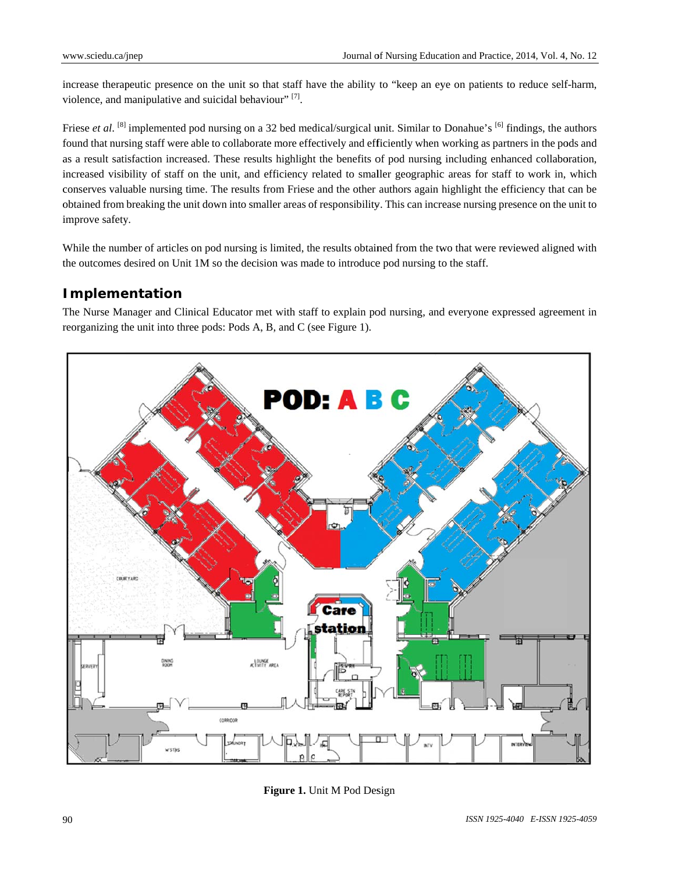increase therapeutic presence on the unit so that staff have the ability to "keep an eye on patients to reduce self-harm, violence, and manipulative and suicidal behaviour"  $[7]$ .

Friese *et al.* <sup>[8]</sup> implemented pod nursing on a 32 bed medical/surgical unit. Similar to Donahue's <sup>[6]</sup> findings, the authors found that nursing staff were able to collaborate more effectively and efficiently when working as partners in the pods and as a result satisfaction increased. These results highlight the benefits of pod nursing including enhanced collaboration, increased visibility of staff on the unit, and efficiency related to smaller geographic areas for staff to work in, which conserves valuable nursing time. The results from Friese and the other authors again highlight the efficiency that can be obtained from breaking the unit down into smaller areas of responsibility. This can increase nursing presence on the unit to improve safety.

While the number of articles on pod nursing is limited, the results obtained from the two that were reviewed aligned with the outcomes desired on Unit 1M so the decision was made to introduce pod nursing to the staff.

### **Implementation**

The Nurse Manager and Clinical Educator met with staff to explain pod nursing, and everyone expressed agreement in reorganizing the unit into three pods: Pods A, B, and C (see Figure 1).



**Figure 1.** Unit M Pod Design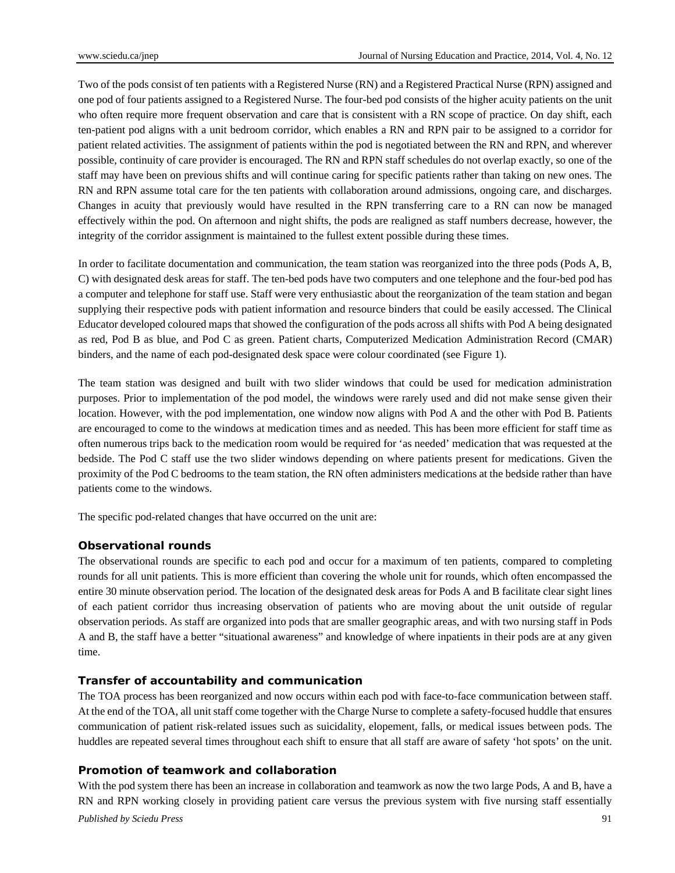Two of the pods consist of ten patients with a Registered Nurse (RN) and a Registered Practical Nurse (RPN) assigned and one pod of four patients assigned to a Registered Nurse. The four-bed pod consists of the higher acuity patients on the unit who often require more frequent observation and care that is consistent with a RN scope of practice. On day shift, each ten-patient pod aligns with a unit bedroom corridor, which enables a RN and RPN pair to be assigned to a corridor for patient related activities. The assignment of patients within the pod is negotiated between the RN and RPN, and wherever possible, continuity of care provider is encouraged. The RN and RPN staff schedules do not overlap exactly, so one of the staff may have been on previous shifts and will continue caring for specific patients rather than taking on new ones. The RN and RPN assume total care for the ten patients with collaboration around admissions, ongoing care, and discharges. Changes in acuity that previously would have resulted in the RPN transferring care to a RN can now be managed effectively within the pod. On afternoon and night shifts, the pods are realigned as staff numbers decrease, however, the integrity of the corridor assignment is maintained to the fullest extent possible during these times.

In order to facilitate documentation and communication, the team station was reorganized into the three pods (Pods A, B, C) with designated desk areas for staff. The ten-bed pods have two computers and one telephone and the four-bed pod has a computer and telephone for staff use. Staff were very enthusiastic about the reorganization of the team station and began supplying their respective pods with patient information and resource binders that could be easily accessed. The Clinical Educator developed coloured maps that showed the configuration of the pods across all shifts with Pod A being designated as red, Pod B as blue, and Pod C as green. Patient charts, Computerized Medication Administration Record (CMAR) binders, and the name of each pod-designated desk space were colour coordinated (see Figure 1).

The team station was designed and built with two slider windows that could be used for medication administration purposes. Prior to implementation of the pod model, the windows were rarely used and did not make sense given their location. However, with the pod implementation, one window now aligns with Pod A and the other with Pod B. Patients are encouraged to come to the windows at medication times and as needed. This has been more efficient for staff time as often numerous trips back to the medication room would be required for 'as needed' medication that was requested at the bedside. The Pod C staff use the two slider windows depending on where patients present for medications. Given the proximity of the Pod C bedrooms to the team station, the RN often administers medications at the bedside rather than have patients come to the windows.

The specific pod-related changes that have occurred on the unit are:

#### **Observational rounds**

The observational rounds are specific to each pod and occur for a maximum of ten patients, compared to completing rounds for all unit patients. This is more efficient than covering the whole unit for rounds, which often encompassed the entire 30 minute observation period. The location of the designated desk areas for Pods A and B facilitate clear sight lines of each patient corridor thus increasing observation of patients who are moving about the unit outside of regular observation periods. As staff are organized into pods that are smaller geographic areas, and with two nursing staff in Pods A and B, the staff have a better "situational awareness" and knowledge of where inpatients in their pods are at any given time.

#### **Transfer of accountability and communication**

The TOA process has been reorganized and now occurs within each pod with face-to-face communication between staff. At the end of the TOA, all unit staff come together with the Charge Nurse to complete a safety-focused huddle that ensures communication of patient risk-related issues such as suicidality, elopement, falls, or medical issues between pods. The huddles are repeated several times throughout each shift to ensure that all staff are aware of safety 'hot spots' on the unit.

#### **Promotion of teamwork and collaboration**

*Published by Sciedu Press* 91 With the pod system there has been an increase in collaboration and teamwork as now the two large Pods, A and B, have a RN and RPN working closely in providing patient care versus the previous system with five nursing staff essentially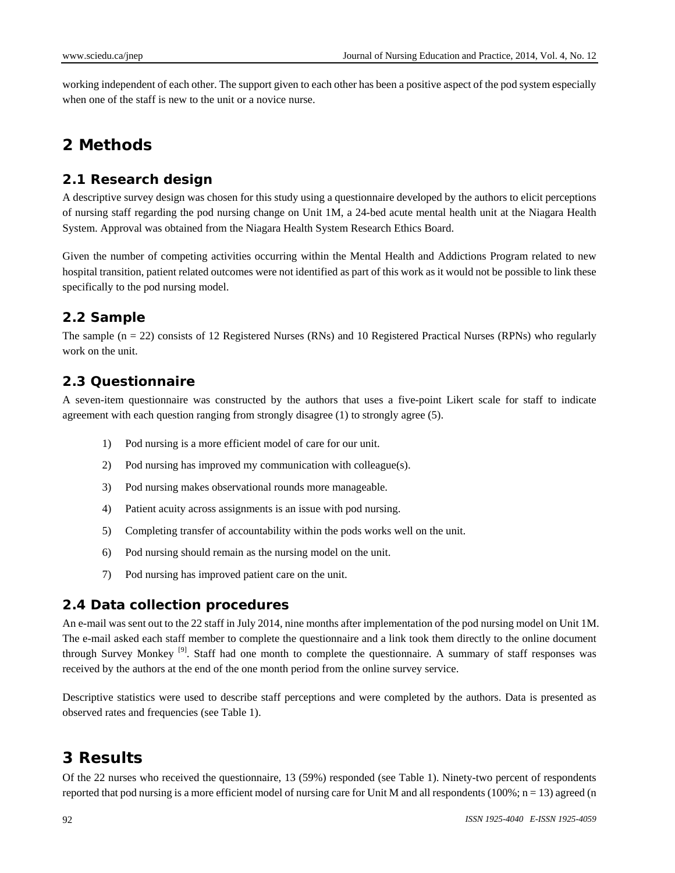working independent of each other. The support given to each other has been a positive aspect of the pod system especially when one of the staff is new to the unit or a novice nurse.

## **2 Methods**

### **2.1 Research design**

A descriptive survey design was chosen for this study using a questionnaire developed by the authors to elicit perceptions of nursing staff regarding the pod nursing change on Unit 1M, a 24-bed acute mental health unit at the Niagara Health System. Approval was obtained from the Niagara Health System Research Ethics Board.

Given the number of competing activities occurring within the Mental Health and Addictions Program related to new hospital transition, patient related outcomes were not identified as part of this work as it would not be possible to link these specifically to the pod nursing model.

## **2.2 Sample**

The sample ( $n = 22$ ) consists of 12 Registered Nurses (RNs) and 10 Registered Practical Nurses (RPNs) who regularly work on the unit.

### **2.3 Questionnaire**

A seven-item questionnaire was constructed by the authors that uses a five-point Likert scale for staff to indicate agreement with each question ranging from strongly disagree (1) to strongly agree (5).

- 1) Pod nursing is a more efficient model of care for our unit.
- 2) Pod nursing has improved my communication with colleague(s).
- 3) Pod nursing makes observational rounds more manageable.
- 4) Patient acuity across assignments is an issue with pod nursing.
- 5) Completing transfer of accountability within the pods works well on the unit.
- 6) Pod nursing should remain as the nursing model on the unit.
- 7) Pod nursing has improved patient care on the unit.

#### **2.4 Data collection procedures**

An e-mail was sent out to the 22 staff in July 2014, nine months after implementation of the pod nursing model on Unit 1M. The e-mail asked each staff member to complete the questionnaire and a link took them directly to the online document through Survey Monkey [9]. Staff had one month to complete the questionnaire. A summary of staff responses was received by the authors at the end of the one month period from the online survey service.

Descriptive statistics were used to describe staff perceptions and were completed by the authors. Data is presented as observed rates and frequencies (see Table 1).

## **3 Results**

Of the 22 nurses who received the questionnaire, 13 (59%) responded (see Table 1). Ninety-two percent of respondents reported that pod nursing is a more efficient model of nursing care for Unit M and all respondents  $(100\%; n = 13)$  agreed (n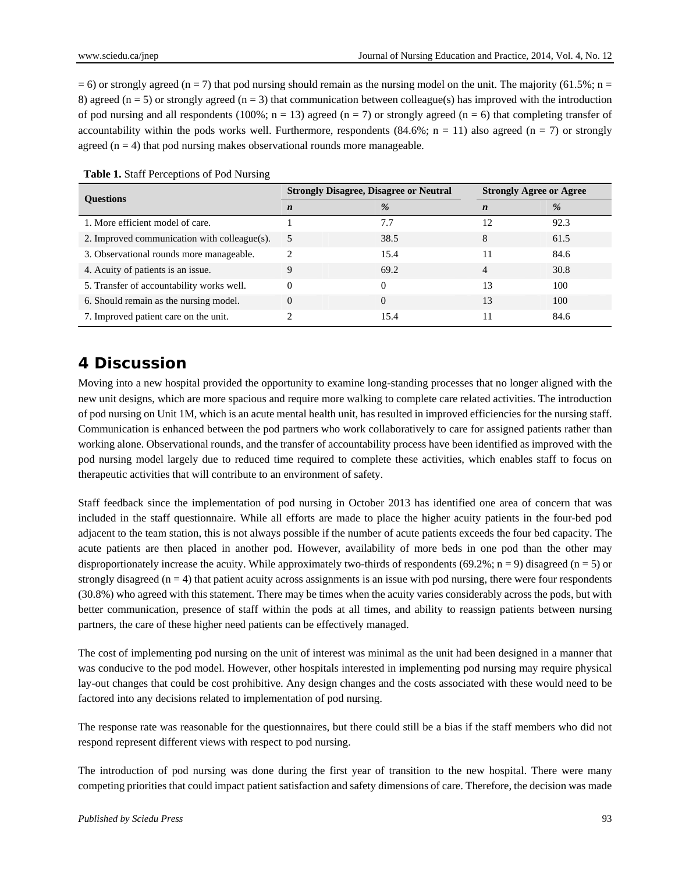$= 6$ ) or strongly agreed (n = 7) that pod nursing should remain as the nursing model on the unit. The majority (61.5%; n = 8) agreed ( $n = 5$ ) or strongly agreed ( $n = 3$ ) that communication between colleague(s) has improved with the introduction of pod nursing and all respondents (100%;  $n = 13$ ) agreed ( $n = 7$ ) or strongly agreed ( $n = 6$ ) that completing transfer of accountability within the pods works well. Furthermore, respondents  $(84.6\%; n = 11)$  also agreed  $(n = 7)$  or strongly agreed  $(n = 4)$  that pod nursing makes observational rounds more manageable.

| <b>Ouestions</b>                             | <b>Strongly Disagree, Disagree or Neutral</b> |          | <b>Strongly Agree or Agree</b> |               |
|----------------------------------------------|-----------------------------------------------|----------|--------------------------------|---------------|
|                                              | n                                             | %        | $\boldsymbol{n}$               | $\frac{0}{6}$ |
| 1. More efficient model of care.             |                                               | 7.7      | 12                             | 92.3          |
| 2. Improved communication with colleague(s). | 5                                             | 38.5     | 8                              | 61.5          |
| 3. Observational rounds more manageable.     |                                               | 15.4     |                                | 84.6          |
| 4. Acuity of patients is an issue.           | 9                                             | 69.2     | 4                              | 30.8          |
| 5. Transfer of accountability works well.    | $\Omega$                                      | $\Omega$ | 13                             | 100           |
| 6. Should remain as the nursing model.       | $\Omega$                                      | $\Omega$ | 13                             | 100           |
| 7. Improved patient care on the unit.        |                                               | 15.4     |                                | 84.6          |

**Table 1.** Staff Perceptions of Pod Nursing

## **4 Discussion**

Moving into a new hospital provided the opportunity to examine long-standing processes that no longer aligned with the new unit designs, which are more spacious and require more walking to complete care related activities. The introduction of pod nursing on Unit 1M, which is an acute mental health unit, has resulted in improved efficiencies for the nursing staff. Communication is enhanced between the pod partners who work collaboratively to care for assigned patients rather than working alone. Observational rounds, and the transfer of accountability process have been identified as improved with the pod nursing model largely due to reduced time required to complete these activities, which enables staff to focus on therapeutic activities that will contribute to an environment of safety.

Staff feedback since the implementation of pod nursing in October 2013 has identified one area of concern that was included in the staff questionnaire. While all efforts are made to place the higher acuity patients in the four-bed pod adjacent to the team station, this is not always possible if the number of acute patients exceeds the four bed capacity. The acute patients are then placed in another pod. However, availability of more beds in one pod than the other may disproportionately increase the acuity. While approximately two-thirds of respondents (69.2%; n = 9) disagreed (n = 5) or strongly disagreed  $(n = 4)$  that patient acuity across assignments is an issue with pod nursing, there were four respondents (30.8%) who agreed with this statement. There may be times when the acuity varies considerably across the pods, but with better communication, presence of staff within the pods at all times, and ability to reassign patients between nursing partners, the care of these higher need patients can be effectively managed.

The cost of implementing pod nursing on the unit of interest was minimal as the unit had been designed in a manner that was conducive to the pod model. However, other hospitals interested in implementing pod nursing may require physical lay-out changes that could be cost prohibitive. Any design changes and the costs associated with these would need to be factored into any decisions related to implementation of pod nursing.

The response rate was reasonable for the questionnaires, but there could still be a bias if the staff members who did not respond represent different views with respect to pod nursing.

The introduction of pod nursing was done during the first year of transition to the new hospital. There were many competing priorities that could impact patient satisfaction and safety dimensions of care. Therefore, the decision was made